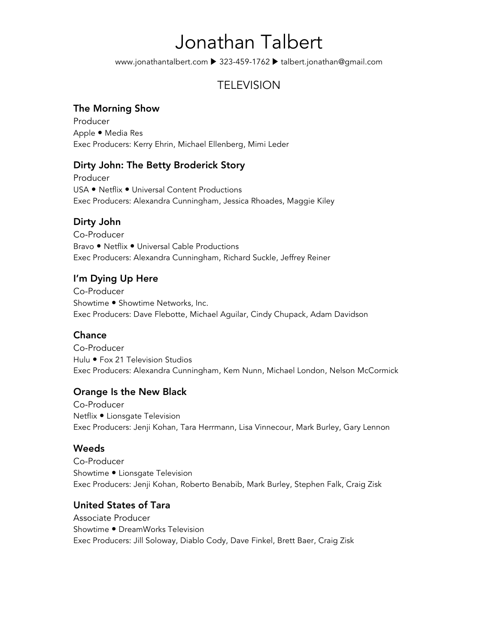# Jonathan Talbert

www.jonathantalbert.com ▶ 323-459-1762 ▶ talbert.jonathan@gmail.com

# **TELEVISION**

#### The Morning Show

Producer Apple . Media Res Exec Producers: Kerry Ehrin, Michael Ellenberg, Mimi Leder

### Dirty John: The Betty Broderick Story

Producer USA . Netflix . Universal Content Productions Exec Producers: Alexandra Cunningham, Jessica Rhoades, Maggie Kiley

#### Dirty John

Co-Producer Bravo . Netflix . Universal Cable Productions Exec Producers: Alexandra Cunningham, Richard Suckle, Jeffrey Reiner

### I'm Dying Up Here

Co-Producer Showtime . Showtime Networks, Inc. Exec Producers: Dave Flebotte, Michael Aguilar, Cindy Chupack, Adam Davidson

### **Chance Chance Chance Chance**

Co-Producer Hulu · Fox 21 Television Studios Exec Producers: Alexandra Cunningham, Kem Nunn, Michael London, Nelson McCormick

#### Orange Is the New Black

Co-Producer Netflix . Lionsgate Television Exec Producers: Jenji Kohan, Tara Herrmann, Lisa Vinnecour, Mark Burley, Gary Lennon

#### **Weeds**

Co-Producer Showtime . Lionsgate Television Exec Producers: Jenji Kohan, Roberto Benabib, Mark Burley, Stephen Falk, Craig Zisk

#### United States of Tara

Associate Producer Showtime . DreamWorks Television Exec Producers: Jill Soloway, Diablo Cody, Dave Finkel, Brett Baer, Craig Zisk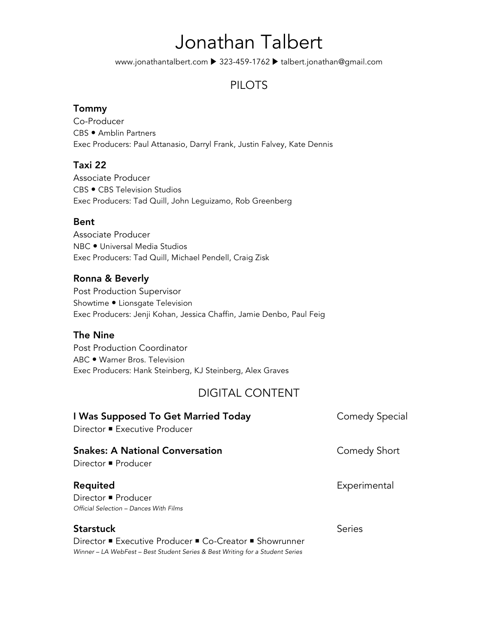# Jonathan Talbert

www.jonathantalbert.com ▶ 323-459-1762 ▶ talbert.jonathan@gmail.com

# PILOTS

#### Tommy

Co-Producer CBS . Amblin Partners Exec Producers: Paul Attanasio, Darryl Frank, Justin Falvey, Kate Dennis

#### Taxi 22

Associate Producer CBS . CBS Television Studios Exec Producers: Tad Quill, John Leguizamo, Rob Greenberg

#### Bent

Associate Producer NBC . Universal Media Studios Exec Producers: Tad Quill, Michael Pendell, Craig Zisk

#### Ronna & Beverly

Post Production Supervisor Showtime . Lionsgate Television Exec Producers: Jenji Kohan, Jessica Chaffin, Jamie Denbo, Paul Feig

#### The Nine

Post Production Coordinator ABC . Warner Bros. Television Exec Producers: Hank Steinberg, KJ Steinberg, Alex Graves

## DIGITAL CONTENT

| I Was Supposed To Get Married Today<br>Director ■ Executive Producer                                                                                         | Comedy Special |
|--------------------------------------------------------------------------------------------------------------------------------------------------------------|----------------|
| <b>Snakes: A National Conversation</b><br>Director ■ Producer                                                                                                | Comedy Short   |
| Requited<br>Director ■ Producer<br>Official Selection - Dances With Films                                                                                    | Experimental   |
| <b>Starstuck</b><br>Director ■ Executive Producer ■ Co-Creator ■ Showrunner<br>Winner – LA WebFest – Best Student Series & Best Writing for a Student Series | Series         |